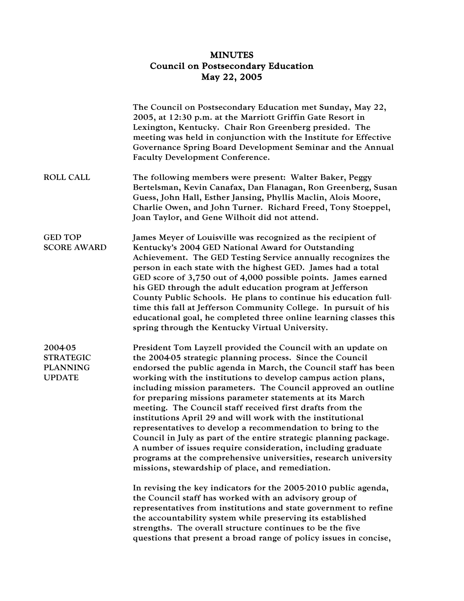## MINUTES Council on Postsecondary Education May 22, 2005

|                                                                 | The Council on Postsecondary Education met Sunday, May 22,<br>2005, at 12:30 p.m. at the Marriott Griffin Gate Resort in<br>Lexington, Kentucky. Chair Ron Greenberg presided. The<br>meeting was held in conjunction with the Institute for Effective<br>Governance Spring Board Development Seminar and the Annual<br><b>Faculty Development Conference.</b>                                                                                                                                                                                                                                                                                                                                                                                                                                                                                                                                                                                                                                                                                                                                                                                                                                                                                    |
|-----------------------------------------------------------------|---------------------------------------------------------------------------------------------------------------------------------------------------------------------------------------------------------------------------------------------------------------------------------------------------------------------------------------------------------------------------------------------------------------------------------------------------------------------------------------------------------------------------------------------------------------------------------------------------------------------------------------------------------------------------------------------------------------------------------------------------------------------------------------------------------------------------------------------------------------------------------------------------------------------------------------------------------------------------------------------------------------------------------------------------------------------------------------------------------------------------------------------------------------------------------------------------------------------------------------------------|
| <b>ROLL CALL</b>                                                | The following members were present: Walter Baker, Peggy<br>Bertelsman, Kevin Canafax, Dan Flanagan, Ron Greenberg, Susan<br>Guess, John Hall, Esther Jansing, Phyllis Maclin, Alois Moore,<br>Charlie Owen, and John Turner. Richard Freed, Tony Stoeppel,<br>Joan Taylor, and Gene Wilhoit did not attend.                                                                                                                                                                                                                                                                                                                                                                                                                                                                                                                                                                                                                                                                                                                                                                                                                                                                                                                                       |
| <b>GED TOP</b><br><b>SCORE AWARD</b>                            | James Meyer of Louisville was recognized as the recipient of<br>Kentucky's 2004 GED National Award for Outstanding<br>Achievement. The GED Testing Service annually recognizes the<br>person in each state with the highest GED. James had a total<br>GED score of 3,750 out of 4,000 possible points. James earned<br>his GED through the adult education program at Jefferson<br>County Public Schools. He plans to continue his education full-<br>time this fall at Jefferson Community College. In pursuit of his<br>educational goal, he completed three online learning classes this<br>spring through the Kentucky Virtual University.                                                                                                                                                                                                                                                                                                                                                                                                                                                                                                                                                                                                    |
| 2004-05<br><b>STRATEGIC</b><br><b>PLANNING</b><br><b>UPDATE</b> | President Tom Layzell provided the Council with an update on<br>the 2004-05 strategic planning process. Since the Council<br>endorsed the public agenda in March, the Council staff has been<br>working with the institutions to develop campus action plans,<br>including mission parameters. The Council approved an outline<br>for preparing missions parameter statements at its March<br>meeting. The Council staff received first drafts from the<br>institutions April 29 and will work with the institutional<br>representatives to develop a recommendation to bring to the<br>Council in July as part of the entire strategic planning package.<br>A number of issues require consideration, including graduate<br>programs at the comprehensive universities, research university<br>missions, stewardship of place, and remediation.<br>In revising the key indicators for the 2005-2010 public agenda,<br>the Council staff has worked with an advisory group of<br>representatives from institutions and state government to refine<br>the accountability system while preserving its established<br>strengths. The overall structure continues to be the five<br>questions that present a broad range of policy issues in concise, |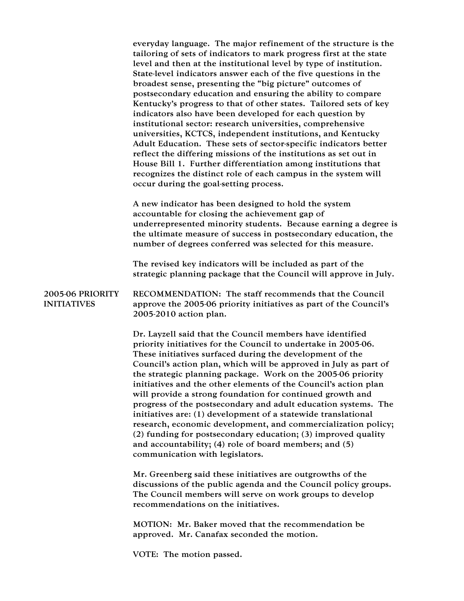everyday language. The major refinement of the structure is the tailoring of sets of indicators to mark progress first at the state level and then at the institutional level by type of institution. State-level indicators answer each of the five questions in the broadest sense, presenting the "big picture" outcomes of postsecondary education and ensuring the ability to compare Kentucky's progress to that of other states. Tailored sets of key indicators also have been developed for each question by institutional sector: research universities, comprehensive universities, KCTCS, independent institutions, and Kentucky Adult Education. These sets of sector-specific indicators better reflect the differing missions of the institutions as set out in House Bill 1. Further differentiation among institutions that recognizes the distinct role of each campus in the system will occur during the goal-setting process.

A new indicator has been designed to hold the system accountable for closing the achievement gap of underrepresented minority students. Because earning a degree is the ultimate measure of success in postsecondary education, the number of degrees conferred was selected for this measure.

The revised key indicators will be included as part of the strategic planning package that the Council will approve in July.

2005-06 PRIORITY INITIATIVES RECOMMENDATION: The staff recommends that the Council approve the 2005-06 priority initiatives as part of the Council's 2005-2010 action plan.

> Dr. Layzell said that the Council members have identified priority initiatives for the Council to undertake in 2005-06. These initiatives surfaced during the development of the Council's action plan, which will be approved in July as part of the strategic planning package. Work on the 2005-06 priority initiatives and the other elements of the Council's action plan will provide a strong foundation for continued growth and progress of the postsecondary and adult education systems. The initiatives are: (1) development of a statewide translational research, economic development, and commercialization policy; (2) funding for postsecondary education; (3) improved quality and accountability; (4) role of board members; and (5) communication with legislators.

Mr. Greenberg said these initiatives are outgrowths of the discussions of the public agenda and the Council policy groups. The Council members will serve on work groups to develop recommendations on the initiatives.

MOTION: Mr. Baker moved that the recommendation be approved. Mr. Canafax seconded the motion.

VOTE: The motion passed.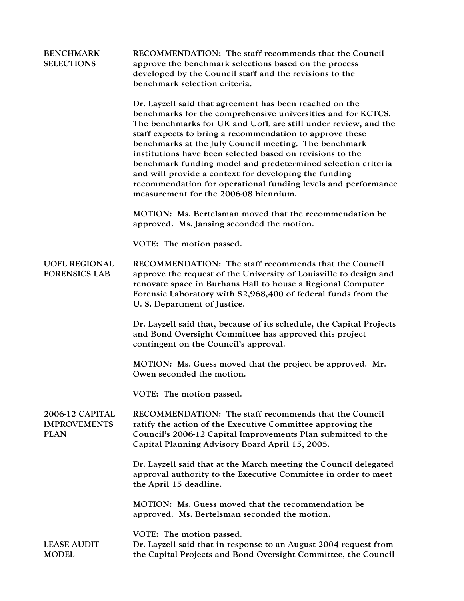| <b>BENCHMARK</b><br><b>SELECTIONS</b>                 | RECOMMENDATION: The staff recommends that the Council<br>approve the benchmark selections based on the process<br>developed by the Council staff and the revisions to the<br>benchmark selection criteria.                                                                                                                                                                                                                                                                                                                                                                                                     |
|-------------------------------------------------------|----------------------------------------------------------------------------------------------------------------------------------------------------------------------------------------------------------------------------------------------------------------------------------------------------------------------------------------------------------------------------------------------------------------------------------------------------------------------------------------------------------------------------------------------------------------------------------------------------------------|
|                                                       | Dr. Layzell said that agreement has been reached on the<br>benchmarks for the comprehensive universities and for KCTCS.<br>The benchmarks for UK and UofL are still under review, and the<br>staff expects to bring a recommendation to approve these<br>benchmarks at the July Council meeting. The benchmark<br>institutions have been selected based on revisions to the<br>benchmark funding model and predetermined selection criteria<br>and will provide a context for developing the funding<br>recommendation for operational funding levels and performance<br>measurement for the 2006-08 biennium. |
|                                                       | MOTION: Ms. Bertelsman moved that the recommendation be<br>approved. Ms. Jansing seconded the motion.                                                                                                                                                                                                                                                                                                                                                                                                                                                                                                          |
|                                                       | VOTE: The motion passed.                                                                                                                                                                                                                                                                                                                                                                                                                                                                                                                                                                                       |
| <b>UOFL REGIONAL</b><br><b>FORENSICS LAB</b>          | RECOMMENDATION: The staff recommends that the Council<br>approve the request of the University of Louisville to design and<br>renovate space in Burhans Hall to house a Regional Computer<br>Forensic Laboratory with \$2,968,400 of federal funds from the<br>U. S. Department of Justice.                                                                                                                                                                                                                                                                                                                    |
|                                                       | Dr. Layzell said that, because of its schedule, the Capital Projects<br>and Bond Oversight Committee has approved this project<br>contingent on the Council's approval.                                                                                                                                                                                                                                                                                                                                                                                                                                        |
|                                                       | MOTION: Ms. Guess moved that the project be approved. Mr.<br>Owen seconded the motion.                                                                                                                                                                                                                                                                                                                                                                                                                                                                                                                         |
|                                                       | VOTE: The motion passed.                                                                                                                                                                                                                                                                                                                                                                                                                                                                                                                                                                                       |
| 2006-12 CAPITAL<br><b>IMPROVEMENTS</b><br><b>PLAN</b> | RECOMMENDATION: The staff recommends that the Council<br>ratify the action of the Executive Committee approving the<br>Council's 2006-12 Capital Improvements Plan submitted to the<br>Capital Planning Advisory Board April 15, 2005.                                                                                                                                                                                                                                                                                                                                                                         |
|                                                       | Dr. Layzell said that at the March meeting the Council delegated<br>approval authority to the Executive Committee in order to meet<br>the April 15 deadline.                                                                                                                                                                                                                                                                                                                                                                                                                                                   |
|                                                       | MOTION: Ms. Guess moved that the recommendation be<br>approved. Ms. Bertelsman seconded the motion.                                                                                                                                                                                                                                                                                                                                                                                                                                                                                                            |
| <b>LEASE AUDIT</b><br><b>MODEL</b>                    | VOTE: The motion passed.<br>Dr. Layzell said that in response to an August 2004 request from<br>the Capital Projects and Bond Oversight Committee, the Council                                                                                                                                                                                                                                                                                                                                                                                                                                                 |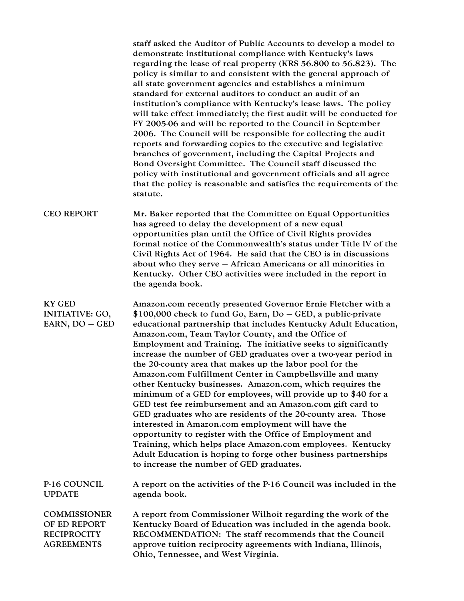staff asked the Auditor of Public Accounts to develop a model to demonstrate institutional compliance with Kentucky's laws regarding the lease of real property (KRS 56.800 to 56.823). The policy is similar to and consistent with the general approach of all state government agencies and establishes a minimum standard for external auditors to conduct an audit of an institution's compliance with Kentucky's lease laws. The policy will take effect immediately; the first audit will be conducted for FY 2005-06 and will be reported to the Council in September 2006. The Council will be responsible for collecting the audit reports and forwarding copies to the executive and legislative branches of government, including the Capital Projects and Bond Oversight Committee. The Council staff discussed the policy with institutional and government officials and all agree that the policy is reasonable and satisfies the requirements of the statute.

CEO REPORT Mr. Baker reported that the Committee on Equal Opportunities has agreed to delay the development of a new equal opportunities plan until the Office of Civil Rights provides formal notice of the Commonwealth's status under Title IV of the Civil Rights Act of 1964. He said that the CEO is in discussions about who they serve – African Americans or all minorities in Kentucky. Other CEO activities were included in the report in the agenda book.

KY GED INITIATIVE: GO, EARN, DO – GED Amazon.com recently presented Governor Ernie Fletcher with a \$100,000 check to fund Go, Earn, Do – GED, a public-private educational partnership that includes Kentucky Adult Education, Amazon.com, Team Taylor County, and the Office of Employment and Training. The initiative seeks to significantly increase the number of GED graduates over a two-year period in the 20-county area that makes up the labor pool for the Amazon.com Fulfillment Center in Campbellsville and many other Kentucky businesses. Amazon.com, which requires the minimum of a GED for employees, will provide up to \$40 for a GED test fee reimbursement and an Amazon.com gift card to GED graduates who are residents of the 20-county area. Those interested in Amazon.com employment will have the opportunity to register with the Office of Employment and Training, which helps place Amazon.com employees. Kentucky Adult Education is hoping to forge other business partnerships to increase the number of GED graduates.

P-16 COUNCIL UPDATE A report on the activities of the P-16 Council was included in the agenda book.

**COMMISSIONER** OF ED REPORT A report from Commissioner Wilhoit regarding the work of the Kentucky Board of Education was included in the agenda book. **RECIPROCITY AGREEMENTS** RECOMMENDATION: The staff recommends that the Council approve tuition reciprocity agreements with Indiana, Illinois, Ohio, Tennessee, and West Virginia.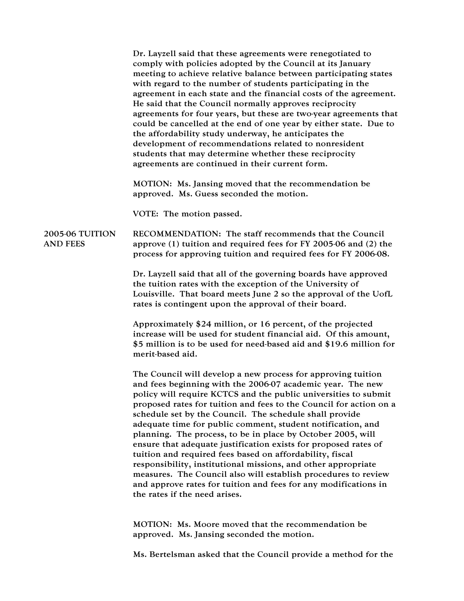Dr. Layzell said that these agreements were renegotiated to comply with policies adopted by the Council at its January meeting to achieve relative balance between participating states with regard to the number of students participating in the agreement in each state and the financial costs of the agreement. He said that the Council normally approves reciprocity agreements for four years, but these are two-year agreements that could be cancelled at the end of one year by either state. Due to the affordability study underway, he anticipates the development of recommendations related to nonresident students that may determine whether these reciprocity agreements are continued in their current form. MOTION: Ms. Jansing moved that the recommendation be approved. Ms. Guess seconded the motion. VOTE: The motion passed. 2005-06 TUITION AND FEES RECOMMENDATION: The staff recommends that the Council approve (1) tuition and required fees for FY 2005-06 and (2) the process for approving tuition and required fees for FY 2006-08. Dr. Layzell said that all of the governing boards have approved the tuition rates with the exception of the University of Louisville. That board meets June 2 so the approval of the UofL rates is contingent upon the approval of their board. Approximately \$24 million, or 16 percent, of the projected increase will be used for student financial aid. Of this amount, \$5 million is to be used for need-based aid and \$19.6 million for merit-based aid. The Council will develop a new process for approving tuition and fees beginning with the 2006-07 academic year. The new policy will require KCTCS and the public universities to submit proposed rates for tuition and fees to the Council for action on a schedule set by the Council. The schedule shall provide adequate time for public comment, student notification, and planning. The process, to be in place by October 2005, will ensure that adequate justification exists for proposed rates of tuition and required fees based on affordability, fiscal responsibility, institutional missions, and other appropriate measures. The Council also will establish procedures to review and approve rates for tuition and fees for any modifications in the rates if the need arises. MOTION: Ms. Moore moved that the recommendation be approved. Ms. Jansing seconded the motion.

Ms. Bertelsman asked that the Council provide a method for the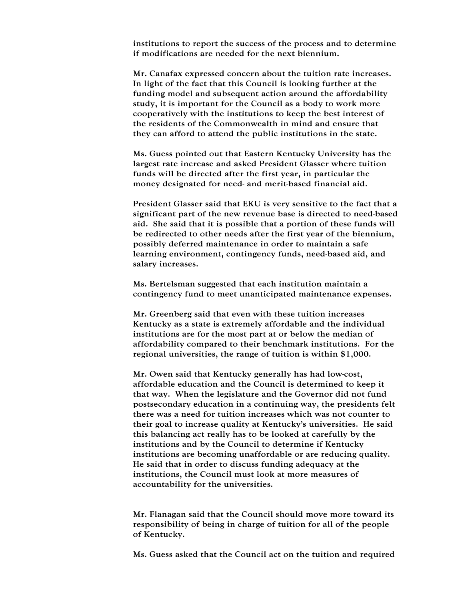institutions to report the success of the process and to determine if modifications are needed for the next biennium.

Mr. Canafax expressed concern about the tuition rate increases. In light of the fact that this Council is looking further at the funding model and subsequent action around the affordability study, it is important for the Council as a body to work more cooperatively with the institutions to keep the best interest of the residents of the Commonwealth in mind and ensure that they can afford to attend the public institutions in the state.

Ms. Guess pointed out that Eastern Kentucky University has the largest rate increase and asked President Glasser where tuition funds will be directed after the first year, in particular the money designated for need- and merit-based financial aid.

President Glasser said that EKU is very sensitive to the fact that a significant part of the new revenue base is directed to need-based aid. She said that it is possible that a portion of these funds will be redirected to other needs after the first year of the biennium, possibly deferred maintenance in order to maintain a safe learning environment, contingency funds, need-based aid, and salary increases.

Ms. Bertelsman suggested that each institution maintain a contingency fund to meet unanticipated maintenance expenses.

Mr. Greenberg said that even with these tuition increases Kentucky as a state is extremely affordable and the individual institutions are for the most part at or below the median of affordability compared to their benchmark institutions. For the regional universities, the range of tuition is within \$1,000.

Mr. Owen said that Kentucky generally has had low-cost, affordable education and the Council is determined to keep it that way. When the legislature and the Governor did not fund postsecondary education in a continuing way, the presidents felt there was a need for tuition increases which was not counter to their goal to increase quality at Kentucky's universities. He said this balancing act really has to be looked at carefully by the institutions and by the Council to determine if Kentucky institutions are becoming unaffordable or are reducing quality. He said that in order to discuss funding adequacy at the institutions, the Council must look at more measures of accountability for the universities.

Mr. Flanagan said that the Council should move more toward its responsibility of being in charge of tuition for all of the people of Kentucky.

Ms. Guess asked that the Council act on the tuition and required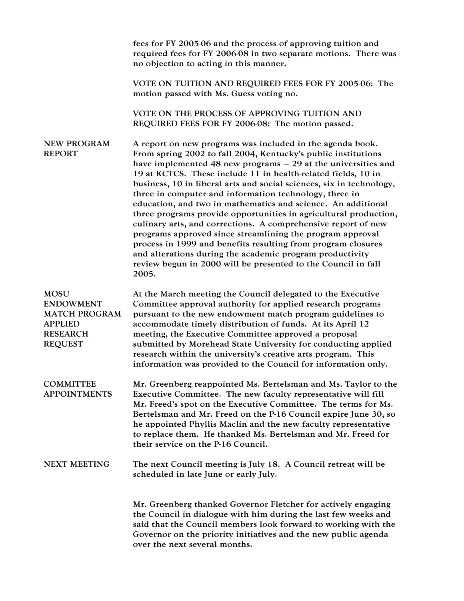fees for FY 2005-06 and the process of approving tuition and required fees for FY 2006-08 in two separate motions. There was no objection to acting in this manner.

VOTE ON TUITION AND REQUIRED FEES FOR FY 2005-06: The motion passed with Ms. Guess voting no.

VOTE ON THE PROCESS OF APPROVING TUITION AND REQUIRED FEES FOR FY 2006-08: The motion passed.

NEW PROGRAM REPORT A report on new programs was included in the agenda book. From spring 2002 to fall 2004, Kentucky's public institutions have implemented 48 new programs – 29 at the universities and 19 at KCTCS. These include 11 in health-related fields, 10 in business, 10 in liberal arts and social sciences, six in technology, three in computer and information technology, three in education, and two in mathematics and science. An additional three programs provide opportunities in agricultural production, culinary arts, and corrections. A comprehensive report of new programs approved since streamlining the program approval process in 1999 and benefits resulting from program closures and alterations during the academic program productivity review begun in 2000 will be presented to the Council in fall 2005.

| <b>MOSU</b><br><b>ENDOWMENT</b><br><b>MATCH PROGRAM</b><br><b>APPLIED</b><br><b>RESEARCH</b><br><b>REQUEST</b> | At the March meeting the Council delegated to the Executive<br>Committee approval authority for applied research programs<br>pursuant to the new endowment match program guidelines to<br>accommodate timely distribution of funds. At its April 12<br>meeting, the Executive Committee approved a proposal<br>submitted by Morehead State University for conducting applied<br>research within the university's creative arts program. This<br>information was provided to the Council for information only. |
|----------------------------------------------------------------------------------------------------------------|---------------------------------------------------------------------------------------------------------------------------------------------------------------------------------------------------------------------------------------------------------------------------------------------------------------------------------------------------------------------------------------------------------------------------------------------------------------------------------------------------------------|
| <b>COMMITTEE</b><br><b>APPOINTMENTS</b>                                                                        | Mr. Greenberg reappointed Ms. Bertelsman and Ms. Taylor to the<br>Executive Committee. The new faculty representative will fill<br>Mr. Freed's spot on the Executive Committee. The terms for Ms.<br>Bertelsman and Mr. Freed on the P-16 Council expire June 30, so<br>he appointed Phyllis Maclin and the new faculty representative<br>to replace them. He thanked Ms. Bertelsman and Mr. Freed for<br>their service on the P-16 Council.                                                                  |
| <b>NEXT MEETING</b>                                                                                            | The next Council meeting is July 18. A Council retreat will be<br>scheduled in late June or early July.                                                                                                                                                                                                                                                                                                                                                                                                       |
|                                                                                                                | Mr. Greenberg thanked Governor Fletcher for actively engaging<br>the Council in dialogue with him during the last few weeks and<br>said that the Council members look forward to working with the<br>Governor on the priority initiatives and the new public agenda<br>over the next several months.                                                                                                                                                                                                          |